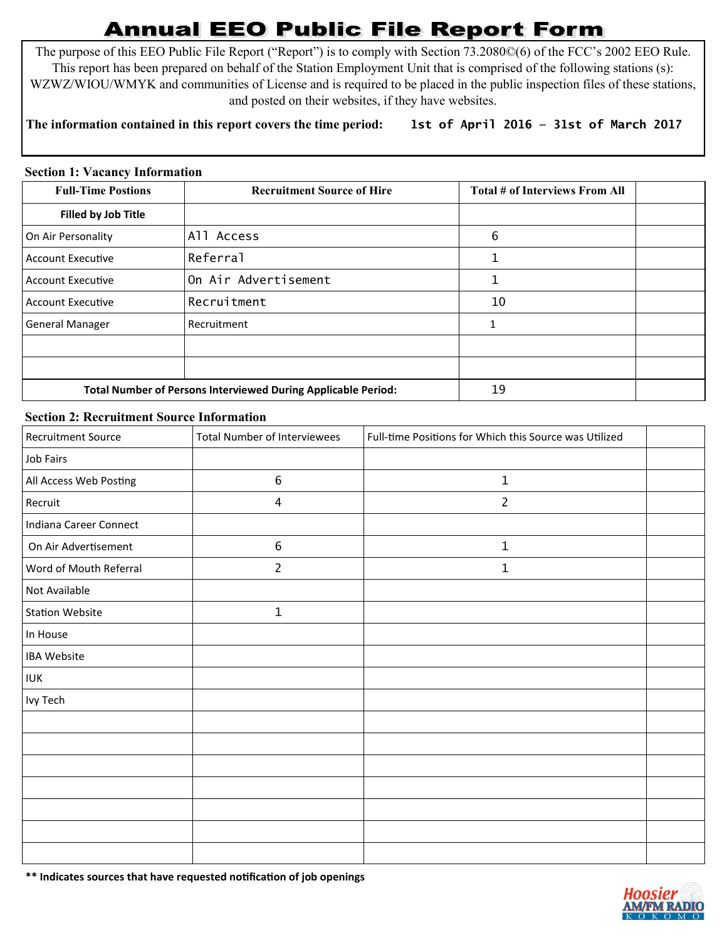## **Annual EEO Public File Report Form**

The purpose of this EEO Public File Report ("Report") is to comply with Section 73.2080©(6) of the FCC's 2002 EEO Rule. This report has been prepared on behalf of the Station Employment Unit that is comprised of the following stations (s): WZWZ/WIOU/WMYK and communities of License and is required to be placed in the public inspection files of these stations, and posted on their websites, if they have websites.

## **The information contained in this report covers the time period: 1st of April 2016 — 31st of March 2017**

## **Section 1: Vacancy Information**

| <b>Full-Time Postions</b>                                            | <b>Recruitment Source of Hire</b> | Total # of Interviews From All |  |
|----------------------------------------------------------------------|-----------------------------------|--------------------------------|--|
| <b>Filled by Job Title</b>                                           |                                   |                                |  |
| On Air Personality                                                   | All Access                        | 6                              |  |
| <b>Account Executive</b>                                             | Referral                          |                                |  |
| <b>Account Executive</b>                                             | On Air Advertisement              | 1                              |  |
| <b>Account Executive</b>                                             | Recruitment                       | 10                             |  |
| <b>General Manager</b>                                               | Recruitment                       | 1                              |  |
|                                                                      |                                   |                                |  |
|                                                                      |                                   |                                |  |
| <b>Total Number of Persons Interviewed During Applicable Period:</b> |                                   | 19                             |  |

## **Section 2: Recruitment Source Information**

| <b>Recruitment Source</b> | <b>Total Number of Interviewees</b> | Full-time Positions for Which this Source was Utilized |  |
|---------------------------|-------------------------------------|--------------------------------------------------------|--|
| Job Fairs                 |                                     |                                                        |  |
| All Access Web Posting    | $\boldsymbol{6}$                    | 1                                                      |  |
| Recruit                   | $\overline{4}$                      | $\overline{2}$                                         |  |
| Indiana Career Connect    |                                     |                                                        |  |
| On Air Advertisement      | $\boldsymbol{6}$                    | $\mathbf{1}$                                           |  |
| Word of Mouth Referral    | $\overline{2}$                      | 1                                                      |  |
| Not Available             |                                     |                                                        |  |
| <b>Station Website</b>    | $\mathbf 1$                         |                                                        |  |
| In House                  |                                     |                                                        |  |
| <b>IBA Website</b>        |                                     |                                                        |  |
| <b>IUK</b>                |                                     |                                                        |  |
| Ivy Tech                  |                                     |                                                        |  |
|                           |                                     |                                                        |  |
|                           |                                     |                                                        |  |
|                           |                                     |                                                        |  |
|                           |                                     |                                                        |  |
|                           |                                     |                                                        |  |
|                           |                                     |                                                        |  |
|                           |                                     |                                                        |  |

**\*\* Indicates sources that have requested notification of job openings**